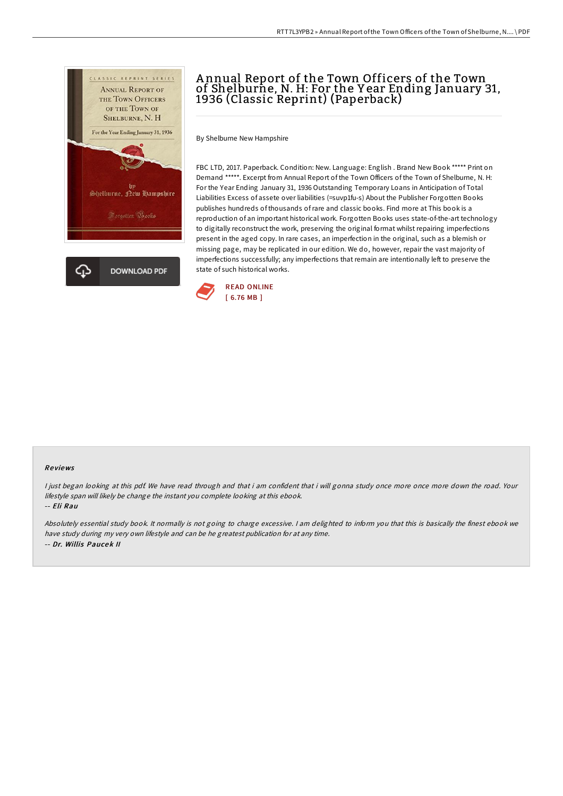

# A nnual Report of the Town Officers of the Town of Shelburne, N. H: For the Y ear Ending January 31, 1936 (Classic Reprint) (Paperback)

By Shelburne New Hampshire

FBC LTD, 2017. Paperback. Condition: New. Language: English . Brand New Book \*\*\*\*\* Print on Demand \*\*\*\*\*. Excerpt from Annual Report of the Town Officers of the Town of Shelburne, N. H: For the Year Ending January 31, 1936 Outstanding Temporary Loans in Anticipation of Total Liabilities Excess of assete over liabilities (=suvp1fu-s) About the Publisher Forgotten Books publishes hundreds of thousands ofrare and classic books. Find more at This book is a reproduction of an important historical work. Forgotten Books uses state-of-the-art technology to digitally reconstruct the work, preserving the original format whilst repairing imperfections present in the aged copy. In rare cases, an imperfection in the original, such as a blemish or missing page, may be replicated in our edition. We do, however, repair the vast majority of imperfections successfully; any imperfections that remain are intentionally left to preserve the state of such historical works.



#### Re views

<sup>I</sup> just began looking at this pdf. We have read through and that i am confident that i will gonna study once more once more down the road. Your lifestyle span will likely be change the instant you complete looking at this ebook.

#### -- Eli Rau

Absolutely essential study book. It normally is not going to charge excessive. <sup>I</sup> am delighted to inform you that this is basically the finest ebook we have study during my very own lifestyle and can be he greatest publication for at any time. -- Dr. Willis Paucek II